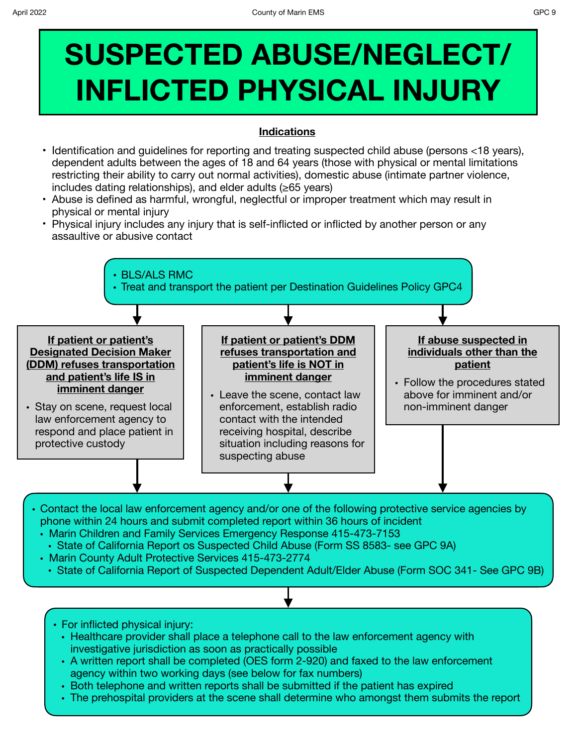## **SUSPECTED ABUSE/NEGLECT/ INFLICTED PHYSICAL INJURY**

## **Indications**

- **•** Identification and guidelines for reporting and treating suspected child abuse (persons <18 years), dependent adults between the ages of 18 and 64 years (those with physical or mental limitations restricting their ability to carry out normal activities), domestic abuse (intimate partner violence, includes dating relationships), and elder adults (≥65 years)
- **•** Abuse is defined as harmful, wrongful, neglectful or improper treatment which may result in physical or mental injury
- **•** Physical injury includes any injury that is self-inflicted or inflicted by another person or any assaultive or abusive contact